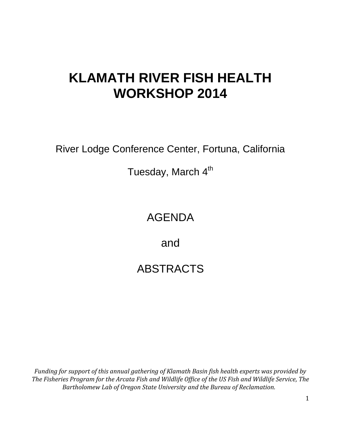# **KLAMATH RIVER FISH HEALTH WORKSHOP 2014**

River Lodge Conference Center, Fortuna, California

Tuesday, March 4<sup>th</sup>

## AGENDA

and

## ABSTRACTS

*Funding for support of this annual gathering of Klamath Basin fish health experts was provided by The Fisheries Program for the Arcata Fish and Wildlife Office of the US Fish and Wildlife Service, The Bartholomew Lab of Oregon State University and the Bureau of Reclamation.*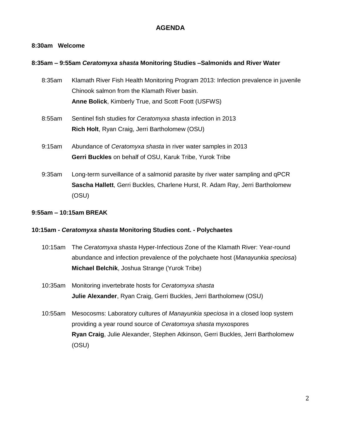#### **AGENDA**

#### **8:30am Welcome**

#### **8:35am – 9:55am** *Ceratomyxa shasta* **Monitoring Studies –Salmonids and River Water**

- 8:35am Klamath River Fish Health Monitoring Program 2013: Infection prevalence in juvenile Chinook salmon from the Klamath River basin. **Anne Bolick**, Kimberly True, and Scott Foott (USFWS)
- 8:55am Sentinel fish studies for *Ceratomyxa shasta* infection in 2013 **Rich Holt**, Ryan Craig, Jerri Bartholomew (OSU)
- 9:15am Abundance of *Ceratomyxa shasta* in river water samples in 2013 **Gerri Buckles** on behalf of OSU, Karuk Tribe, Yurok Tribe
- 9:35am Long-term surveillance of a salmonid parasite by river water sampling and qPCR **Sascha Hallett**, Gerri Buckles, Charlene Hurst, R. Adam Ray, Jerri Bartholomew (OSU)

#### **9:55am – 10:15am BREAK**

#### **10:15am -** *Ceratomyxa shasta* **Monitoring Studies cont. - Polychaetes**

- 10:15am The *Ceratomyxa shasta* Hyper-Infectious Zone of the Klamath River: Year-round abundance and infection prevalence of the polychaete host (*Manayunkia speciosa*) **Michael Belchik**, Joshua Strange (Yurok Tribe)
- 10:35am Monitoring invertebrate hosts for *Ceratomyxa shasta* **Julie Alexander**, Ryan Craig, Gerri Buckles, Jerri Bartholomew (OSU)
- 10:55am Mesocosms: Laboratory cultures of *Manayunkia speciosa* in a closed loop system providing a year round source of *Ceratomxya shasta* myxospores **Ryan Craig**, Julie Alexander, Stephen Atkinson, Gerri Buckles, Jerri Bartholomew (OSU)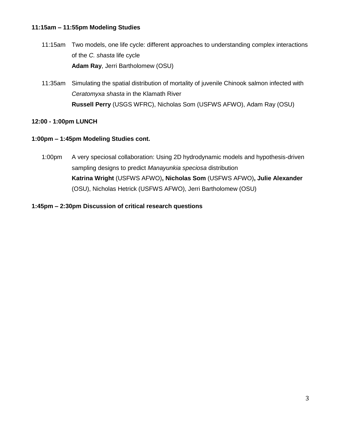#### **11:15am – 11:55pm Modeling Studies**

- 11:15am Two models, one life cycle: different approaches to understanding complex interactions of the *C. shasta* life cycle **Adam Ray**, Jerri Bartholomew (OSU)
- 11:35am Simulating the spatial distribution of mortality of juvenile Chinook salmon infected with *Ceratomyxa shasta* in the Klamath River **Russell Perry** (USGS WFRC), Nicholas Som (USFWS AFWO), Adam Ray (OSU)

#### **12:00 - 1:00pm LUNCH**

#### **1:00pm – 1:45pm Modeling Studies cont.**

1:00pm A very speciosal collaboration: Using 2D hydrodynamic models and hypothesis-driven sampling designs to predict *Manayunkia speciosa* distribution **Katrina Wright** (USFWS AFWO)**, Nicholas Som** (USFWS AFWO)**, Julie Alexander**  (OSU), Nicholas Hetrick (USFWS AFWO), Jerri Bartholomew (OSU)

#### **1:45pm – 2:30pm Discussion of critical research questions**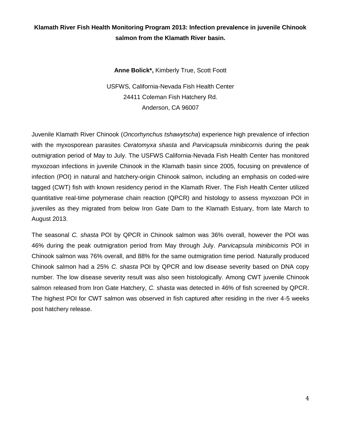## **Klamath River Fish Health Monitoring Program 2013: Infection prevalence in juvenile Chinook salmon from the Klamath River basin.**

**Anne Bolick\*,** Kimberly True, Scott Foott

USFWS, California-Nevada Fish Health Center 24411 Coleman Fish Hatchery Rd. Anderson, CA 96007

Juvenile Klamath River Chinook (*Oncorhynchus tshawytscha*) experience high prevalence of infection with the myxosporean parasites *Ceratomyxa shasta* and *Parvicapsula minibicornis* during the peak outmigration period of May to July. The USFWS California-Nevada Fish Health Center has monitored myxozoan infections in juvenile Chinook in the Klamath basin since 2005, focusing on prevalence of infection (POI) in natural and hatchery-origin Chinook salmon, including an emphasis on coded-wire tagged (CWT) fish with known residency period in the Klamath River. The Fish Health Center utilized quantitative real-time polymerase chain reaction (QPCR) and histology to assess myxozoan POI in juveniles as they migrated from below Iron Gate Dam to the Klamath Estuary, from late March to August 2013.

The seasonal *C. shasta* POI by QPCR in Chinook salmon was 36% overall, however the POI was 46% during the peak outmigration period from May through July. *Parvicapsula minibicornis* POI in Chinook salmon was 76% overall, and 88% for the same outmigration time period. Naturally produced Chinook salmon had a 25% *C. shasta* POI by QPCR and low disease severity based on DNA copy number. The low disease severity result was also seen histologically. Among CWT juvenile Chinook salmon released from Iron Gate Hatchery, *C. shasta* was detected in 46% of fish screened by QPCR. The highest POI for CWT salmon was observed in fish captured after residing in the river 4-5 weeks post hatchery release.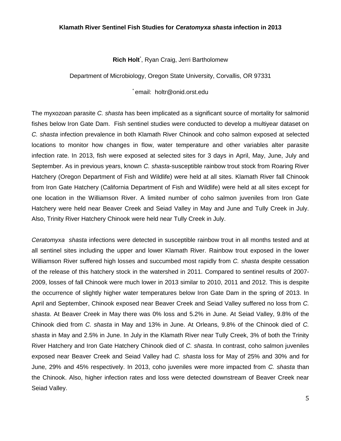#### **Klamath River Sentinel Fish Studies for** *Ceratomyxa shasta* **infection in 2013**

#### **Rich Holt**\* , Ryan Craig, Jerri Bartholomew

Department of Microbiology, Oregon State University, Corvallis, OR 97331

\* email: holtr@onid.orst.edu

The myxozoan parasite *C. shasta* has been implicated as a significant source of mortality for salmonid fishes below Iron Gate Dam. Fish sentinel studies were conducted to develop a multiyear dataset on *C. shasta* infection prevalence in both Klamath River Chinook and coho salmon exposed at selected locations to monitor how changes in flow, water temperature and other variables alter parasite infection rate. In 2013, fish were exposed at selected sites for 3 days in April, May, June, July and September. As in previous years, known *C. shasta*-susceptible rainbow trout stock from Roaring River Hatchery (Oregon Department of Fish and Wildlife) were held at all sites. Klamath River fall Chinook from Iron Gate Hatchery (California Department of Fish and Wildlife) were held at all sites except for one location in the Williamson River. A limited number of coho salmon juveniles from Iron Gate Hatchery were held near Beaver Creek and Seiad Valley in May and June and Tully Creek in July. Also, Trinity River Hatchery Chinook were held near Tully Creek in July.

*Ceratomyxa shasta* infections were detected in susceptible rainbow trout in all months tested and at all sentinel sites including the upper and lower Klamath River. Rainbow trout exposed in the lower Williamson River suffered high losses and succumbed most rapidly from *C. shasta* despite cessation of the release of this hatchery stock in the watershed in 2011. Compared to sentinel results of 2007- 2009, losses of fall Chinook were much lower in 2013 similar to 2010, 2011 and 2012. This is despite the occurrence of slightly higher water temperatures below Iron Gate Dam in the spring of 2013. In April and September, Chinook exposed near Beaver Creek and Seiad Valley suffered no loss from *C. shasta*. At Beaver Creek in May there was 0% loss and 5.2% in June. At Seiad Valley, 9.8% of the Chinook died from *C. shasta* in May and 13% in June. At Orleans, 9.8% of the Chinook died of *C. shasta* in May and 2.5% in June. In July in the Klamath River near Tully Creek, 3% of both the Trinity River Hatchery and Iron Gate Hatchery Chinook died of *C. shasta*. In contrast, coho salmon juveniles exposed near Beaver Creek and Seiad Valley had *C. shasta* loss for May of 25% and 30% and for June, 29% and 45% respectively. In 2013, coho juveniles were more impacted from *C. shasta* than the Chinook. Also, higher infection rates and loss were detected downstream of Beaver Creek near Seiad Valley.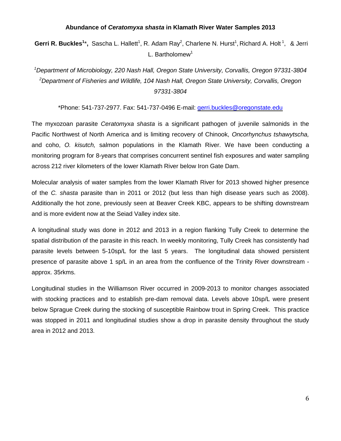#### **Abundance of** *Ceratomyxa shasta* **in Klamath River Water Samples 2013**

Gerri R. Buckles<sup>1\*</sup>, Sascha L. Hallett<sup>1</sup>, R. Adam Ray<sup>2</sup>, Charlene N. Hurst<sup>1</sup>, Richard A. Holt<sup>1</sup>, & Jerri L. Bartholomew<sup>1</sup>

*<sup>1</sup>Department of Microbiology, 220 Nash Hall, Oregon State University, Corvallis, Oregon 97331-3804 <sup>2</sup>Department of Fisheries and Wildlife, 104 Nash Hall, Oregon State University, Corvallis, Oregon 97331-3804*

\*Phone: 541-737-2977. Fax: 541-737-0496 E-mail: gerri.buckles@oregonstate.edu

The myxozoan parasite *Ceratomyxa shasta* is a significant pathogen of juvenile salmonids in the Pacific Northwest of North America and is limiting recovery of Chinook, *Oncorhynchus tshawytscha,* and coho, *O. kisutch,* salmon populations in the Klamath River. We have been conducting a monitoring program for 8-years that comprises concurrent sentinel fish exposures and water sampling across 212 river kilometers of the lower Klamath River below Iron Gate Dam.

Molecular analysis of water samples from the lower Klamath River for 2013 showed higher presence of the *C. shasta* parasite than in 2011 or 2012 (but less than high disease years such as 2008). Additionally the hot zone, previously seen at Beaver Creek KBC, appears to be shifting downstream and is more evident now at the Seiad Valley index site.

A longitudinal study was done in 2012 and 2013 in a region flanking Tully Creek to determine the spatial distribution of the parasite in this reach. In weekly monitoring, Tully Creek has consistently had parasite levels between 5-10sp/L for the last 5 years. The longitudinal data showed persistent presence of parasite above 1 sp/L in an area from the confluence of the Trinity River downstream approx. 35rkms.

Longitudinal studies in the Williamson River occurred in 2009-2013 to monitor changes associated with stocking practices and to establish pre-dam removal data. Levels above 10sp/L were present below Sprague Creek during the stocking of susceptible Rainbow trout in Spring Creek. This practice was stopped in 2011 and longitudinal studies show a drop in parasite density throughout the study area in 2012 and 2013.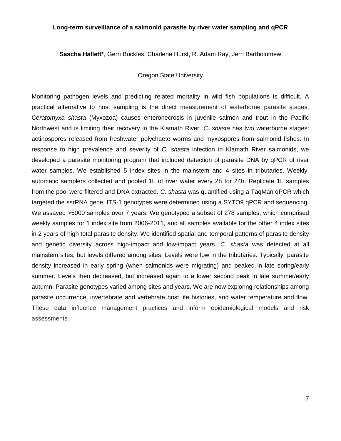#### **Long-term surveillance of a salmonid parasite by river water sampling and qPCR**

**Sascha Hallett\***, Gerri Buckles, Charlene Hurst, R. Adam Ray, Jerri Bartholomew

#### Oregon State University

Monitoring pathogen levels and predicting related mortality in wild fish populations is difficult. A practical alternative to host sampling is the direct measurement of waterborne parasite stages. *Ceratomyxa shasta* (Myxozoa) causes enteronecrosis in juvenile salmon and trout in the Pacific Northwest and is limiting their recovery in the Klamath River. *C. shasta* has two waterborne stages: actinospores released from freshwater polychaete worms and myxospores from salmonid fishes. In response to high prevalence and severity of *C. shasta* infection in Klamath River salmonids, we developed a parasite monitoring program that included detection of parasite DNA by qPCR of river water samples. We established 5 index sites in the mainstem and 4 sites in tributaries. Weekly, automatic samplers collected and pooled 1L of river water every 2h for 24h. Replicate 1L samples from the pool were filtered and DNA extracted. *C. shasta* was quantified using a TaqMan qPCR which targeted the ssrRNA gene. ITS-1 genotypes were determined using a SYTO9 qPCR and sequencing. We assayed >5000 samples over 7 years. We genotyped a subset of 278 samples, which comprised weekly samples for 1 index site from 2006-2011, and all samples available for the other 4 index sites in 2 years of high total parasite density. We identified spatial and temporal patterns of parasite density and genetic diversity across high-impact and low-impact years. *C. shasta* was detected at all mainstem sites, but levels differed among sites. Levels were low in the tributaries. Typically, parasite density increased in early spring (when salmonids were migrating) and peaked in late spring/early summer. Levels then decreased, but increased again to a lower second peak in late summer/early autumn. Parasite genotypes varied among sites and years. We are now exploring relationships among parasite occurrence, invertebrate and vertebrate host life histories, and water temperature and flow. These data influence management practices and inform epidemiological models and risk assessments.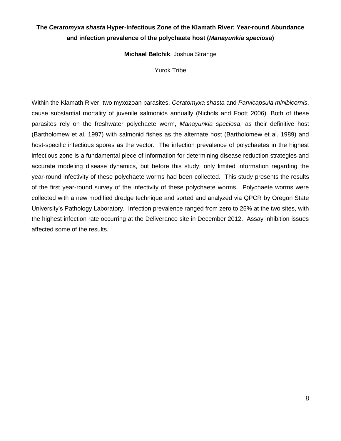## **The** *Ceratomyxa shasta* **Hyper-Infectious Zone of the Klamath River: Year-round Abundance and infection prevalence of the polychaete host (***Manayunkia speciosa***)**

**Michael Belchik**, Joshua Strange

Yurok Tribe

Within the Klamath River, two myxozoan parasites, *Ceratomyxa shasta* and *Parvicapsula minibicornis*, cause substantial mortality of juvenile salmonids annually (Nichols and Foott 2006). Both of these parasites rely on the freshwater polychaete worm, *Manayunkia speciosa*, as their definitive host (Bartholomew et al. 1997) with salmonid fishes as the alternate host (Bartholomew et al. 1989) and host-specific infectious spores as the vector. The infection prevalence of polychaetes in the highest infectious zone is a fundamental piece of information for determining disease reduction strategies and accurate modeling disease dynamics, but before this study, only limited information regarding the year-round infectivity of these polychaete worms had been collected. This study presents the results of the first year-round survey of the infectivity of these polychaete worms. Polychaete worms were collected with a new modified dredge technique and sorted and analyzed via QPCR by Oregon State University's Pathology Laboratory. Infection prevalence ranged from zero to 25% at the two sites, with the highest infection rate occurring at the Deliverance site in December 2012. Assay inhibition issues affected some of the results.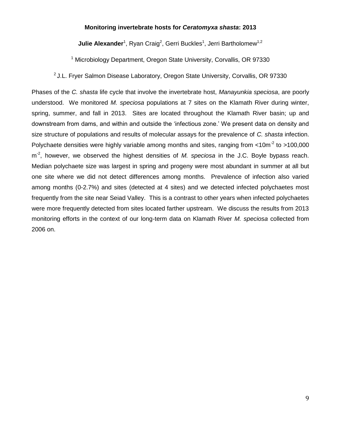#### **Monitoring invertebrate hosts for** *Ceratomyxa shasta***: 2013**

Julie Alexander<sup>1</sup>, Ryan Craig<sup>2</sup>, Gerri Buckles<sup>1</sup>, Jerri Bartholomew<sup>1,2</sup>

<sup>1</sup> Microbiology Department, Oregon State University, Corvallis, OR 97330

<sup>2</sup> J.L. Fryer Salmon Disease Laboratory, Oregon State University, Corvallis, OR 97330

Phases of the *C. shasta* life cycle that involve the invertebrate host, *Manayunkia speciosa*, are poorly understood. We monitored *M. speciosa* populations at 7 sites on the Klamath River during winter, spring, summer, and fall in 2013. Sites are located throughout the Klamath River basin; up and downstream from dams, and within and outside the 'infectious zone.' We present data on density and size structure of populations and results of molecular assays for the prevalence of *C. shasta* infection. Polychaete densities were highly variable among months and sites, ranging from  $\leq 10$ m<sup>-2</sup> to  $>100,000$ m<sup>-2</sup>, however, we observed the highest densities of M. speciosa in the J.C. Boyle bypass reach. Median polychaete size was largest in spring and progeny were most abundant in summer at all but one site where we did not detect differences among months. Prevalence of infection also varied among months (0-2.7%) and sites (detected at 4 sites) and we detected infected polychaetes most frequently from the site near Seiad Valley. This is a contrast to other years when infected polychaetes were more frequently detected from sites located farther upstream. We discuss the results from 2013 monitoring efforts in the context of our long-term data on Klamath River *M. speciosa* collected from 2006 on.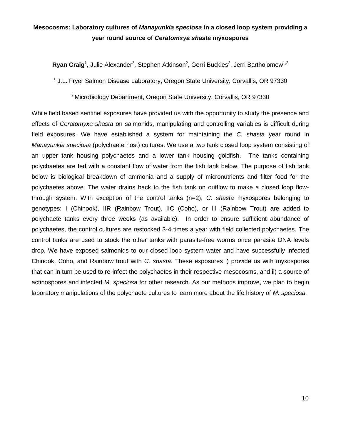## **Mesocosms: Laboratory cultures of** *Manayunkia speciosa* **in a closed loop system providing a year round source of** *Ceratomxya shasta* **myxospores**

Ryan Craig<sup>1</sup>, Julie Alexander<sup>2</sup>, Stephen Atkinson<sup>2</sup>, Gerri Buckles<sup>2</sup>, Jerri Bartholomew<sup>1,2</sup>

<sup>1</sup> J.L. Fryer Salmon Disease Laboratory, Oregon State University, Corvallis, OR 97330

<sup>2</sup> Microbiology Department, Oregon State University, Corvallis, OR 97330

While field based sentinel exposures have provided us with the opportunity to study the presence and effects of *Ceratomyxa shasta* on salmonids, manipulating and controlling variables is difficult during field exposures. We have established a system for maintaining the *C. shasta* year round in *Manayunkia speciosa* (polychaete host) cultures. We use a two tank closed loop system consisting of an upper tank housing polychaetes and a lower tank housing goldfish. The tanks containing polychaetes are fed with a constant flow of water from the fish tank below. The purpose of fish tank below is biological breakdown of ammonia and a supply of micronutrients and filter food for the polychaetes above. The water drains back to the fish tank on outflow to make a closed loop flowthrough system. With exception of the control tanks (n=2), *C. shasta* myxospores belonging to genotypes: I (Chinook), IIR (Rainbow Trout), IIC (Coho), or III (Rainbow Trout) are added to polychaete tanks every three weeks (as available). In order to ensure sufficient abundance of polychaetes, the control cultures are restocked 3-4 times a year with field collected polychaetes. The control tanks are used to stock the other tanks with parasite-free worms once parasite DNA levels drop. We have exposed salmonids to our closed loop system water and have successfully infected Chinook, Coho, and Rainbow trout with *C. shasta.* These exposures i) provide us with myxospores that can in turn be used to re-infect the polychaetes in their respective mesocosms, and ii) a source of actinospores and infected *M. speciosa* for other research. As our methods improve, we plan to begin laboratory manipulations of the polychaete cultures to learn more about the life history of *M. speciosa.*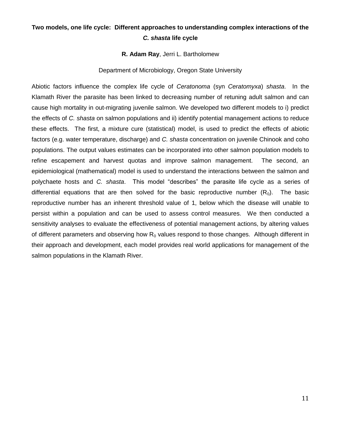## **Two models, one life cycle: Different approaches to understanding complex interactions of the**  *C. shasta* **life cycle**

#### **R. Adam Ray**, Jerri L. Bartholomew

#### Department of Microbiology, Oregon State University

Abiotic factors influence the complex life cycle of *Ceratonoma* (syn *Ceratomyxa*) *shasta*. In the Klamath River the parasite has been linked to decreasing number of retuning adult salmon and can cause high mortality in out-migrating juvenile salmon. We developed two different models to i) predict the effects of *C. shasta* on salmon populations and ii) identify potential management actions to reduce these effects. The first, a mixture cure (statistical) model, is used to predict the effects of abiotic factors (e.g. water temperature, discharge) and *C. shasta* concentration on juvenile Chinook and coho populations. The output values estimates can be incorporated into other salmon population models to refine escapement and harvest quotas and improve salmon management. The second, an epidemiological (mathematical) model is used to understand the interactions between the salmon and polychaete hosts and *C. shasta*. This model "describes" the parasite life cycle as a series of differential equations that are then solved for the basic reproductive number  $(R_0)$ . The basic reproductive number has an inherent threshold value of 1, below which the disease will unable to persist within a population and can be used to assess control measures. We then conducted a sensitivity analyses to evaluate the effectiveness of potential management actions, by altering values of different parameters and observing how  $R_0$  values respond to those changes. Although different in their approach and development, each model provides real world applications for management of the salmon populations in the Klamath River.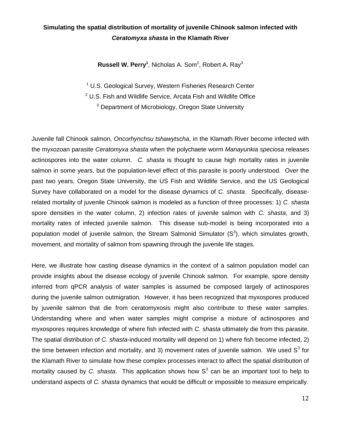## **Simulating the spatial distribution of mortality of juvenile Chinook salmon infected with**  *Ceratomyxa shasta* **in the Klamath River**

**Russell W. Perry<sup>1</sup>, Nicholas A. Som<sup>2</sup>, Robert A. Ray<sup>3</sup>** 

<sup>1</sup> U.S. Geological Survey, Western Fisheries Research Center

 $2$  U.S. Fish and Wildlife Service, Arcata Fish and Wildlife Office

<sup>3</sup> Department of Microbiology, Oregon State University

Juvenile fall Chinook salmon, *Oncorhynchsu tshawytscha*, in the Klamath River become infected with the myxozoan parasite *Ceratomyxa shasta* when the polychaete worm *Manayunkia speciosa* releases actinospores into the water column. *C. shasta* is thought to cause high mortality rates in juvenile salmon in some years, but the population-level effect of this parasite is poorly understood. Over the past two years, Oregon State University, the US Fish and Wildlife Service, and the US Geological Survey have collaborated on a model for the disease dynamics of *C. shasta*. Specifically, diseaserelated mortality of juvenile Chinook salmon is modeled as a function of three processes: 1) *C. shasta* spore densities in the water column, 2) infection rates of juvenile salmon with *C. shasta*, and 3) mortality rates of infected juvenile salmon. This disease sub-model is being incorporated into a population model of juvenile salmon, the Stream Salmonid Simulator  $(S^3)$ , which simulates growth, movement, and mortality of salmon from spawning through the juvenile life stages.

Here, we illustrate how casting disease dynamics in the context of a salmon population model can provide insights about the disease ecology of juvenile Chinook salmon. For example, spore density inferred from qPCR analysis of water samples is assumed be composed largely of actinospores during the juvenile salmon outmigration. However, it has been recognized that myxospores produced by juvenile salmon that die from ceratomyxosis might also contribute to these water samples. Understanding where and when water samples might comprise a mixture of actinospores and myxospores requires knowledge of where fish infected with *C. shasta* ultimately die from this parasite. The spatial distribution of *C. shasta*-induced mortality will depend on 1) where fish become infected, 2) the time between infection and mortality, and 3) movement rates of juvenile salmon. We used  $S<sup>3</sup>$  for the Klamath River to simulate how these complex processes interact to affect the spatial distribution of mortality caused by C. shasta. This application shows how  $S<sup>3</sup>$  can be an important tool to help to understand aspects of *C. shasta* dynamics that would be difficult or impossible to measure empirically.